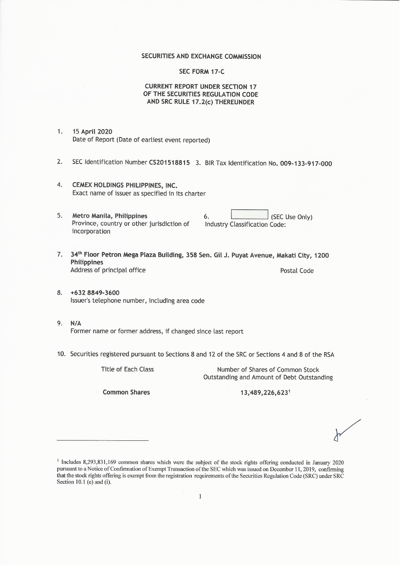### SECURITIES AND EXCHANGE COMMISSION

### **SEC FORM 17-C**

### **CURRENT REPORT UNDER SECTION 17** OF THE SECURITIES REGULATION CODE AND SRC RULE 17.2(c) THEREUNDER

- 15 April 2020  $1.$ Date of Report (Date of earliest event reported)
- $2.$ SEC Identification Number CS201518815 3. BIR Tax Identification No. 009-133-917-000
- 4. CEMEX HOLDINGS PHILIPPINES, INC. Exact name of issuer as specified in its charter
- 5. Metro Manila, Philippines 6. (SEC Use Only) Province, country or other jurisdiction of Industry Classification Code: incorporation
- 7. 34th Floor Petron Mega Plaza Building, 358 Sen. Gil J. Puyat Avenue, Makati City, 1200 Philippines Address of principal office Postal Code
- 8. +632 8849-3600 Issuer's telephone number, including area code
- 9.  $N/A$ Former name or former address, if changed since last report
- 10. Securities registered pursuant to Sections 8 and 12 of the SRC or Sections 4 and 8 of the RSA

**Title of Each Class** 

Number of Shares of Common Stock Outstanding and Amount of Debt Outstanding

**Common Shares** 

13,489,226,6231

<sup>&</sup>lt;sup>1</sup> Includes 8,293,831,169 common shares which were the subject of the stock rights offering conducted in January 2020 pursuant to a Notice of Confirmation of Exempt Transaction of the SEC which was issued on December 11, 2019, confirming that the stock rights offering is exempt from the registration requirements of the Securities Regulation Code (SRC) under SRC Section 10.1 (e) and (i).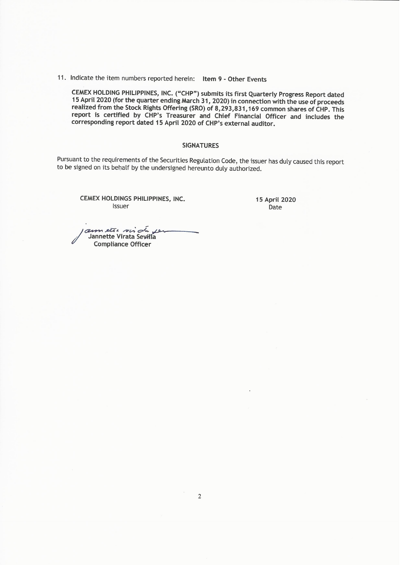11. Indicate the item numbers reported herein: Item 9 - Other Events

CEMEX HOLDING PHILIPPINES, INC. ("CHP") submits its first Quarterly Progress Report dated<br>15 April 2020 (for the quarter ending March 31, 2020) in connection with the use of proceeds realized from the Stock Rights Offering (SRO) of 8,293,831,169 common shares of CHP. This report is certified by CHP's Treasurer and Chief Financial Officer and includes the corresponding report dated 15 April 2020 of CHP's external auditor.

#### **SIGNATURES**

Pursuant to the requirements of the Securities Regulation Code, the issuer has duly caused this report to be signed on its behalf by the undersigned hereunto duly authorized.

CEMEX HOLDINGS PHILIPPINES, INC. Issuer

15 April 2020 Date

annette virde 10 Jannette Virata Sevilla **Compliance Officer**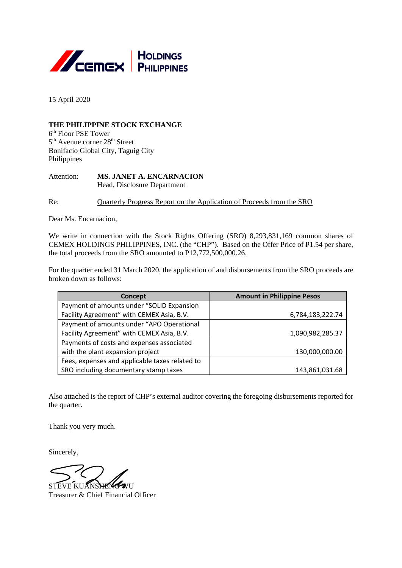

15 April 2020

# **THE PHILIPPINE STOCK EXCHANGE**

6th Floor PSE Tower  $5<sup>th</sup>$  Avenue corner  $28<sup>th</sup>$  Street Bonifacio Global City, Taguig City Philippines

Attention: **MS. JANET A. ENCARNACION** Head, Disclosure Department

Re: Quarterly Progress Report on the Application of Proceeds from the SRO

Dear Ms. Encarnacion,

We write in connection with the Stock Rights Offering (SRO) 8,293,831,169 common shares of CEMEX HOLDINGS PHILIPPINES, INC. (the "CHP"). Based on the Offer Price of P1.54 per share, the total proceeds from the SRO amounted to P12,772,500,000.26.

For the quarter ended 31 March 2020, the application of and disbursements from the SRO proceeds are broken down as follows:

| Concept                                        | <b>Amount in Philippine Pesos</b> |  |  |
|------------------------------------------------|-----------------------------------|--|--|
| Payment of amounts under "SOLID Expansion      |                                   |  |  |
| Facility Agreement" with CEMEX Asia, B.V.      | 6,784,183,222.74                  |  |  |
| Payment of amounts under "APO Operational      |                                   |  |  |
| Facility Agreement" with CEMEX Asia, B.V.      | 1,090,982,285.37                  |  |  |
| Payments of costs and expenses associated      |                                   |  |  |
| with the plant expansion project               | 130,000,000.00                    |  |  |
| Fees, expenses and applicable taxes related to |                                   |  |  |
| SRO including documentary stamp taxes          | 143,861,031.68                    |  |  |

Also attached is the report of CHP's external auditor covering the foregoing disbursements reported for the quarter.

Thank you very much.

Sincerely,

STEVE KUANSHENG WU

Treasurer & Chief Financial Officer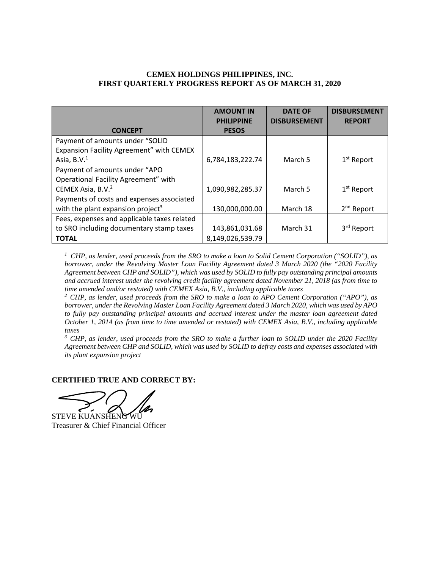# **CEMEX HOLDINGS PHILIPPINES, INC. FIRST QUARTERLY PROGRESS REPORT AS OF MARCH 31, 2020**

|                                               | <b>AMOUNT IN</b><br><b>PHILIPPINE</b> | <b>DATE OF</b><br><b>DISBURSEMENT</b> | <b>DISBURSEMENT</b><br><b>REPORT</b> |
|-----------------------------------------------|---------------------------------------|---------------------------------------|--------------------------------------|
| <b>CONCEPT</b>                                | <b>PESOS</b>                          |                                       |                                      |
| Payment of amounts under "SOLID               |                                       |                                       |                                      |
| Expansion Facility Agreement" with CEMEX      |                                       |                                       |                                      |
| Asia, $B.V.1$                                 | 6,784,183,222.74                      | March 5                               | $1st$ Report                         |
| Payment of amounts under "APO                 |                                       |                                       |                                      |
| Operational Facility Agreement" with          |                                       |                                       |                                      |
| CEMEX Asia, B.V. <sup>2</sup>                 | 1,090,982,285.37                      | March 5                               | $1st$ Report                         |
| Payments of costs and expenses associated     |                                       |                                       |                                      |
| with the plant expansion project <sup>3</sup> | 130,000,000.00                        | March 18                              | 2 <sup>nd</sup> Report               |
| Fees, expenses and applicable taxes related   |                                       |                                       |                                      |
| to SRO including documentary stamp taxes      | 143,861,031.68                        | March 31                              | 3rd Report                           |
| <b>TOTAL</b>                                  | 8,149,026,539.79                      |                                       |                                      |

*1 CHP, as lender, used proceeds from the SRO to make a loan to Solid Cement Corporation ("SOLID"), as borrower, under the Revolving Master Loan Facility Agreement dated 3 March 2020 (the "2020 Facility Agreement between CHP and SOLID"), which was used by SOLID to fully pay outstanding principal amounts and accrued interest under the revolving credit facility agreement dated November 21, 2018 (as from time to time amended and/or restated) with CEMEX Asia, B.V., including applicable taxes*

*2 CHP, as lender, used proceeds from the SRO to make a loan to APO Cement Corporation ("APO"), as borrower, under the Revolving Master Loan Facility Agreement dated 3 March 2020, which was used by APO to fully pay outstanding principal amounts and accrued interest under the master loan agreement dated October 1, 2014 (as from time to time amended or restated) with CEMEX Asia, B.V., including applicable taxes*

*3 CHP, as lender, used proceeds from the SRO to make a further loan to SOLID under the 2020 Facility Agreement between CHP and SOLID, which was used by SOLID to defray costs and expenses associated with its plant expansion project*

## **CERTIFIED TRUE AND CORRECT BY:**

STEVE KUANSHENG

Treasurer & Chief Financial Officer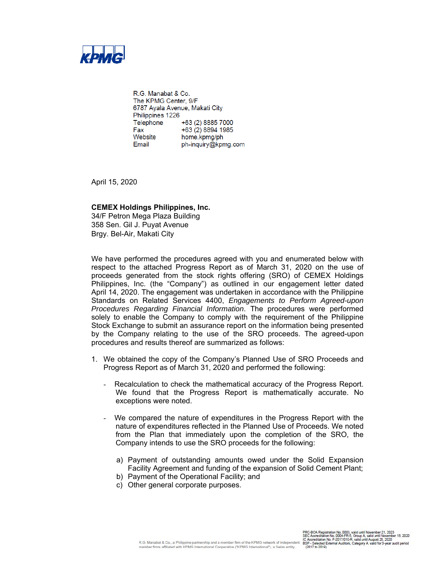

R.G. Manabat & Co. The KPMG Center, 9/F 6787 Ayala Avenue, Makati City Philippines 1226 Telephone +63 (2) 8885 7000 +63 (2) 8894 1985 Fax ғах<br>Website<br>Email home.kpmg/ph Email ph-inquiry@kpmg.com

April 15, 2020

## **CEMEX Holdings Philippines, Inc.**

34/F Petron Mega Plaza Building 358 Sen. Gil J. Puyat Avenue Brgy. Bel-Air, Makati City

We have performed the procedures agreed with you and enumerated below with respect to the attached Progress Report as of March 31, 2020 on the use of proceeds generated from the stock rights offering (SRO) of CEMEX Holdings Philippines, Inc. (the "Company") as outlined in our engagement letter dated April 14, 2020. The engagement was undertaken in accordance with the Philippine Standards on Related Services 4400, *Engagements to Perform Agreed-upon Procedures Regarding Financial Information*. The procedures were performed solely to enable the Company to comply with the requirement of the Philippine Stock Exchange to submit an assurance report on the information being presented by the Company relating to the use of the SRO proceeds. The agreed-upon procedures and results thereof are summarized as follows:

- 1. We obtained the copy of the Company's Planned Use of SRO Proceeds and Progress Report as of March 31, 2020 and performed the following:
	- Recalculation to check the mathematical accuracy of the Progress Report. We found that the Progress Report is mathematically accurate. No exceptions were noted.
	- We compared the nature of expenditures in the Progress Report with the nature of expenditures reflected in the Planned Use of Proceeds. We noted from the Plan that immediately upon the completion of the SRO, the Company intends to use the SRO proceeds for the following:
		- a) Payment of outstanding amounts owed under the Solid Expansion Facility Agreement and funding of the expansion of Solid Cement Plant;
		- b) Payment of the Operational Facility; and
		- c) Other general corporate purposes.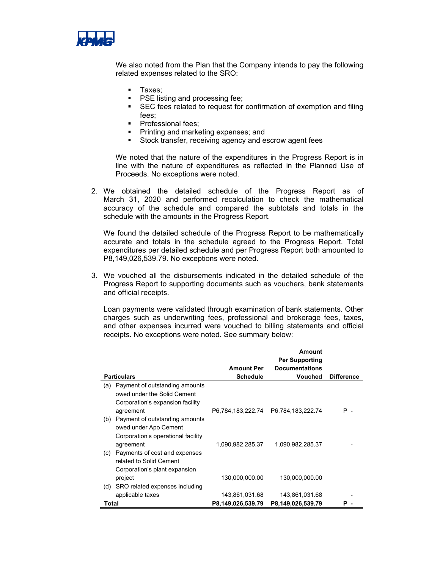

We also noted from the Plan that the Company intends to pay the following related expenses related to the SRO:

- Taxes;
- **PSE listing and processing fee;**
- **SEC** fees related to request for confirmation of exemption and filing fees;
- **Professional fees;**
- **Printing and marketing expenses; and**
- Stock transfer, receiving agency and escrow agent fees

We noted that the nature of the expenditures in the Progress Report is in line with the nature of expenditures as reflected in the Planned Use of Proceeds. No exceptions were noted.

2. We obtained the detailed schedule of the Progress Report as of March 31, 2020 and performed recalculation to check the mathematical accuracy of the schedule and compared the subtotals and totals in the schedule with the amounts in the Progress Report.

We found the detailed schedule of the Progress Report to be mathematically accurate and totals in the schedule agreed to the Progress Report. Total expenditures per detailed schedule and per Progress Report both amounted to P8,149,026,539.79. No exceptions were noted.

3. We vouched all the disbursements indicated in the detailed schedule of the Progress Report to supporting documents such as vouchers, bank statements and official receipts.

Loan payments were validated through examination of bank statements. Other charges such as underwriting fees, professional and brokerage fees, taxes, and other expenses incurred were vouched to billing statements and official receipts. No exceptions were noted. See summary below:

|       |                                                                                                   |                   | Amount<br><b>Per Supporting</b>     |                   |
|-------|---------------------------------------------------------------------------------------------------|-------------------|-------------------------------------|-------------------|
|       |                                                                                                   | <b>Amount Per</b> | <b>Documentations</b>               |                   |
|       | <b>Particulars</b>                                                                                | <b>Schedule</b>   | <b>Vouched</b>                      | <b>Difference</b> |
| (a)   | Payment of outstanding amounts<br>owed under the Solid Cement<br>Corporation's expansion facility |                   |                                     |                   |
|       | agreement                                                                                         |                   | P6,784,183,222.74 P6,784,183,222.74 | P -               |
| (b)   | Payment of outstanding amounts<br>owed under Apo Cement<br>Corporation's operational facility     |                   |                                     |                   |
|       | agreement                                                                                         | 1,090,982,285.37  | 1,090,982,285.37                    |                   |
| (c)   | Payments of cost and expenses<br>related to Solid Cement<br>Corporation's plant expansion         |                   |                                     |                   |
|       | project                                                                                           | 130,000,000.00    | 130,000,000.00                      |                   |
| (d)   | SRO related expenses including                                                                    |                   |                                     |                   |
|       | applicable taxes                                                                                  | 143,861,031.68    | 143,861,031.68                      |                   |
| Total |                                                                                                   | P8,149,026,539.79 | P8,149,026,539.79                   | Р                 |